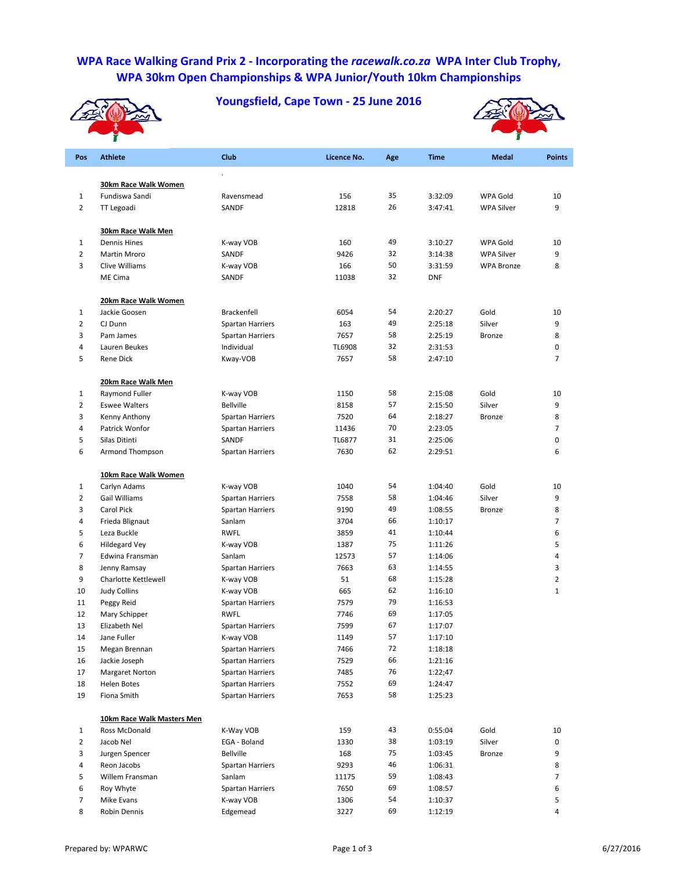## **WPA Race Walking Grand Prix 2 ‐ Incorporating the** *racewalk.co.za* **WPA Inter Club Trophy, WPA 30km Open Championships & WPA Junior/Youth 10km Championships**

**Youngsfield, Cape Town ‐ 25 June 2016**





| Pos            | <b>Athlete</b>                              | Club                                 | Licence No. | Age      | <b>Time</b>        | <b>Medal</b>      | <b>Points</b>  |
|----------------|---------------------------------------------|--------------------------------------|-------------|----------|--------------------|-------------------|----------------|
|                |                                             |                                      |             |          |                    |                   |                |
|                | 30km Race Walk Women                        |                                      |             |          |                    |                   |                |
| 1              | Fundiswa Sandi                              | Ravensmead                           | 156         | 35<br>26 | 3:32:09            | WPA Gold          | 10             |
| $\overline{2}$ | TT Legoadi                                  | SANDF                                | 12818       |          | 3:47:41            | <b>WPA Silver</b> | 9              |
|                | <b>30km Race Walk Men</b>                   |                                      |             |          |                    |                   |                |
| 1              | <b>Dennis Hines</b>                         | K-way VOB                            | 160         | 49       | 3:10:27            | WPA Gold          | 10             |
| $\overline{2}$ | Martin Mroro                                | SANDF                                | 9426        | 32       | 3:14:38            | <b>WPA Silver</b> | 9              |
| 3              | <b>Clive Williams</b>                       | K-way VOB                            | 166         | 50       | 3:31:59            | <b>WPA Bronze</b> | 8              |
|                | ME Cima                                     | SANDF                                | 11038       | 32       | <b>DNF</b>         |                   |                |
|                | 20km Race Walk Women                        |                                      |             |          |                    |                   |                |
| 1              | Jackie Goosen                               | <b>Brackenfell</b>                   | 6054        | 54       | 2:20:27            | Gold              | 10             |
| $\overline{2}$ | CJ Dunn                                     | <b>Spartan Harriers</b>              | 163         | 49       | 2:25:18            | Silver            | 9              |
| 3              | Pam James                                   | <b>Spartan Harriers</b>              | 7657        | 58       | 2:25:19            | <b>Bronze</b>     | 8              |
| 4              | Lauren Beukes                               | Individual                           | TL6908      | 32       | 2:31:53            |                   | 0              |
| 5              | Rene Dick                                   | Kway-VOB                             | 7657        | 58       | 2:47:10            |                   | $\overline{7}$ |
|                | 20km Race Walk Men                          |                                      |             |          |                    |                   |                |
| 1              | Raymond Fuller                              | K-way VOB                            | 1150        | 58       | 2:15:08            | Gold              | 10             |
| $\overline{2}$ | <b>Eswee Walters</b>                        | <b>Bellville</b>                     | 8158        | 57       | 2:15:50            | Silver            | 9              |
| 3              | Kenny Anthony                               | <b>Spartan Harriers</b>              | 7520        | 64       | 2:18:27            | <b>Bronze</b>     | 8              |
| 4              | Patrick Wonfor                              | <b>Spartan Harriers</b>              | 11436       | 70       | 2:23:05            |                   | 7              |
| 5              | Silas Ditinti                               | SANDF                                | TL6877      | 31       | 2:25:06            |                   | 0              |
| 6              | Armond Thompson                             | <b>Spartan Harriers</b>              | 7630        | 62       | 2:29:51            |                   | 6              |
|                | 10km Race Walk Women                        |                                      |             |          |                    |                   |                |
| 1              | Carlyn Adams                                | K-way VOB                            | 1040        | 54       | 1:04:40            | Gold              | 10             |
| $\overline{2}$ | Gail Williams                               | <b>Spartan Harriers</b>              | 7558        | 58       | 1:04:46            | Silver            | 9              |
| 3              | Carol Pick                                  | <b>Spartan Harriers</b>              | 9190        | 49       | 1:08:55            | <b>Bronze</b>     | 8              |
| 4              | Frieda Blignaut                             | Sanlam                               | 3704        | 66       | 1:10:17            |                   | 7              |
| 5              | Leza Buckle                                 | <b>RWFL</b>                          | 3859        | 41       | 1:10:44            |                   | 6              |
| 6              | <b>Hildegard Vey</b>                        | K-way VOB                            | 1387        | 75       | 1:11:26            |                   | 5              |
| 7              | Edwina Fransman                             | Sanlam                               | 12573       | 57       | 1:14:06            |                   | 4              |
| 8              | Jenny Ramsay                                | <b>Spartan Harriers</b>              | 7663        | 63       | 1:14:55            |                   | 3              |
| 9              | <b>Charlotte Kettlewell</b>                 | K-way VOB                            | 51          | 68       | 1:15:28            |                   | 2              |
| 10             | <b>Judy Collins</b>                         | K-way VOB                            | 665         | 62       | 1:16:10            |                   | $\mathbf{1}$   |
| 11             | Peggy Reid                                  | <b>Spartan Harriers</b>              | 7579        | 79       | 1:16:53            |                   |                |
| 12             | Mary Schipper                               | <b>RWFL</b>                          | 7746        | 69       | 1:17:05            |                   |                |
| 13             | Elizabeth Nel                               | <b>Spartan Harriers</b>              | 7599        | 67       | 1:17:07            |                   |                |
| 14             | Jane Fuller                                 |                                      | 1149        | 57       |                    |                   |                |
| 15             | Megan Brennan                               | K-way VOB<br><b>Spartan Harriers</b> | 7466        | 72       | 1:17:10<br>1:18:18 |                   |                |
| 16             | Jackie Joseph                               | Spartan Harriers                     | 7529        | 66       | 1:21:16            |                   |                |
| 17             | <b>Margaret Norton</b>                      | Spartan Harriers                     | 7485        | 76       | 1:22;47            |                   |                |
| 18             | Helen Botes                                 | Spartan Harriers                     | 7552        | 69       | 1:24:47            |                   |                |
| 19             | Fiona Smith                                 | Spartan Harriers                     | 7653        | 58       | 1:25:23            |                   |                |
|                |                                             |                                      |             |          |                    |                   |                |
| 1              | 10km Race Walk Masters Men<br>Ross McDonald | K-Way VOB                            | 159         | 43       | 0:55:04            | Gold              | 10             |
| $\overline{2}$ | Jacob Nel                                   | EGA - Boland                         | 1330        | 38       | 1:03:19            | Silver            | 0              |
| 3              | Jurgen Spencer                              | Bellville                            | 168         | 75       | 1:03:45            | <b>Bronze</b>     | 9              |
| 4              | Reon Jacobs                                 | <b>Spartan Harriers</b>              | 9293        | 46       | 1:06:31            |                   | 8              |
| 5              | Willem Fransman                             | Sanlam                               | 11175       | 59       | 1:08:43            |                   | 7              |
| 6              | Roy Whyte                                   | Spartan Harriers                     | 7650        | 69       | 1:08:57            |                   | 6              |
| 7              | Mike Evans                                  | K-way VOB                            | 1306        | 54       | 1:10:37            |                   | 5              |
| 8              | Robin Dennis                                | Edgemead                             | 3227        | 69       | 1:12:19            |                   | 4              |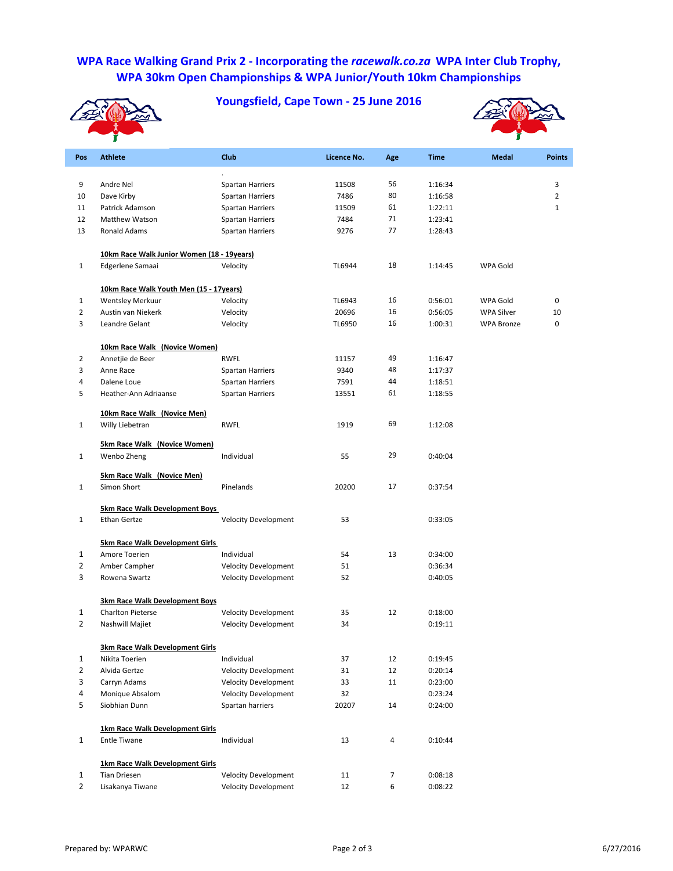## **WPA Race Walking Grand Prix 2 ‐ Incorporating the** *racewalk.co.za* **WPA Inter Club Trophy, WPA 30km Open Championships & WPA Junior/Youth 10km Championships**



**Youngsfield, Cape Town ‐ 25 June 2016**



| Pos                     | <b>Athlete</b>                                    | Club                                               | Licence No.  | Age        | <b>Time</b>        | <b>Medal</b>      | <b>Points</b>  |
|-------------------------|---------------------------------------------------|----------------------------------------------------|--------------|------------|--------------------|-------------------|----------------|
|                         |                                                   |                                                    |              |            |                    |                   |                |
| 9                       | Andre Nel                                         | <b>Spartan Harriers</b>                            | 11508        | 56         | 1:16:34            |                   | 3              |
| 10                      | Dave Kirby                                        | <b>Spartan Harriers</b>                            | 7486         | 80<br>61   | 1:16:58            |                   | $\overline{2}$ |
| 11                      | Patrick Adamson<br>Matthew Watson                 | <b>Spartan Harriers</b>                            | 11509        | 71         | 1:22:11            |                   | $\mathbf{1}$   |
| 12<br>13                | Ronald Adams                                      | <b>Spartan Harriers</b><br><b>Spartan Harriers</b> | 7484<br>9276 | 77         | 1:23:41<br>1:28:43 |                   |                |
|                         |                                                   |                                                    |              |            |                    |                   |                |
|                         | 10km Race Walk Junior Women (18 - 19years)        |                                                    |              |            |                    |                   |                |
| $\mathbf{1}$            | Edgerlene Samaai                                  | Velocity                                           | TL6944       | 18         | 1:14:45            | <b>WPA Gold</b>   |                |
|                         | 10km Race Walk Youth Men (15 - 17years)           |                                                    |              |            |                    |                   |                |
| $\mathbf{1}$            | <b>Wentsley Merkuur</b>                           | Velocity                                           | TL6943       | 16         | 0:56:01            | WPA Gold          | 0              |
| $\overline{2}$          | Austin van Niekerk                                | Velocity                                           | 20696        | 16         | 0:56:05            | <b>WPA Silver</b> | 10             |
| 3                       | Leandre Gelant                                    | Velocity                                           | TL6950       | 16         | 1:00:31            | <b>WPA Bronze</b> | 0              |
|                         | 10km Race Walk (Novice Women)                     |                                                    |              |            |                    |                   |                |
| $\overline{2}$          | Annetjie de Beer                                  | <b>RWFL</b>                                        | 11157        | 49         | 1:16:47            |                   |                |
| 3                       | Anne Race                                         | <b>Spartan Harriers</b>                            | 9340         | 48         | 1:17:37            |                   |                |
| 4                       | Dalene Loue                                       | <b>Spartan Harriers</b>                            | 7591         | 44         | 1:18:51            |                   |                |
| 5                       | Heather-Ann Adriaanse                             | Spartan Harriers                                   | 13551        | 61         | 1:18:55            |                   |                |
|                         | 10km Race Walk (Novice Men)                       |                                                    |              |            |                    |                   |                |
| $\mathbf{1}$            | Willy Liebetran                                   | <b>RWFL</b>                                        | 1919         | 69         | 1:12:08            |                   |                |
|                         | <b>5km Race Walk (Novice Women)</b>               |                                                    |              |            |                    |                   |                |
| $\mathbf{1}$            | Wenbo Zheng                                       | Individual                                         | 55           | 29         | 0:40:04            |                   |                |
|                         | <b>5km Race Walk (Novice Men)</b>                 |                                                    |              |            |                    |                   |                |
| $\mathbf{1}$            | Simon Short                                       | Pinelands                                          | 20200        | 17         | 0:37:54            |                   |                |
|                         | <b>5km Race Walk Development Boys</b>             |                                                    |              |            |                    |                   |                |
| $\mathbf{1}$            | <b>Ethan Gertze</b>                               | <b>Velocity Development</b>                        | 53           |            | 0:33:05            |                   |                |
|                         | <b>5km Race Walk Development Girls</b>            |                                                    |              |            |                    |                   |                |
| $\mathbf{1}$            | Amore Toerien                                     | Individual                                         | 54           | 13         | 0:34:00            |                   |                |
| $\overline{2}$          | Amber Campher                                     | <b>Velocity Development</b>                        | 51           |            | 0:36:34            |                   |                |
| 3                       | Rowena Swartz                                     | <b>Velocity Development</b>                        | 52           |            | 0:40:05            |                   |                |
|                         | 3km Race Walk Development Boys                    |                                                    |              |            |                    |                   |                |
| $\mathbf{1}$            | <b>Charlton Pieterse</b>                          | <b>Velocity Development</b>                        | 35           | 12         | 0:18:00            |                   |                |
| $\overline{2}$          | Nashwill Majiet                                   | <b>Velocity Development</b>                        | 34           |            | 0:19:11            |                   |                |
|                         |                                                   |                                                    |              |            |                    |                   |                |
| $\mathbf{1}$            | 3km Race Walk Development Girls<br>Nikita Toerien | Individual                                         | 37           | 12         | 0:19:45            |                   |                |
| $\overline{2}$          | Alvida Gertze                                     | <b>Velocity Development</b>                        | 31           | 12         | 0:20:14            |                   |                |
| 3                       | Carryn Adams                                      | Velocity Development                               | 33           | 11         | 0:23:00            |                   |                |
| $\overline{\mathbf{4}}$ | Monique Absalom                                   | <b>Velocity Development</b>                        | 32           |            | 0:23:24            |                   |                |
| 5                       | Siobhian Dunn                                     | Spartan harriers                                   | 20207        | 14         | 0:24:00            |                   |                |
|                         |                                                   |                                                    |              |            |                    |                   |                |
|                         | 1km Race Walk Development Girls                   |                                                    |              |            |                    |                   |                |
| $\mathbf 1$             | <b>Entle Tiwane</b>                               | Individual                                         | 13           | 4          | 0:10:44            |                   |                |
|                         | 1km Race Walk Development Girls                   |                                                    |              |            |                    |                   |                |
| $\mathbf{1}$            | <b>Tian Driesen</b>                               | <b>Velocity Development</b>                        | 11           | $\sqrt{7}$ | 0:08:18            |                   |                |
| $\overline{2}$          | Lisakanya Tiwane                                  | <b>Velocity Development</b>                        | 12           | $\,6\,$    | 0:08:22            |                   |                |